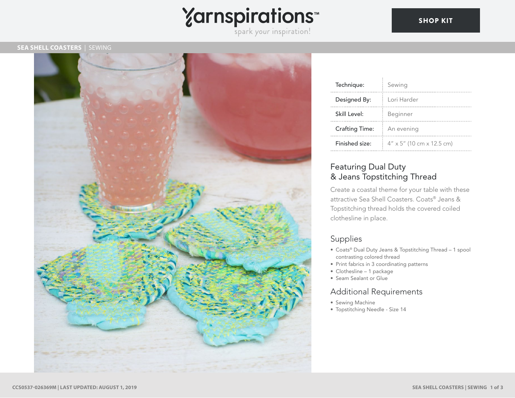

#### **SEA SHELL COASTERS** | SEWING



| Technique:            | Sewing                                    |
|-----------------------|-------------------------------------------|
| Designed By:          | Lori Harder                               |
| Skill Level:          | Beginner                                  |
| <b>Crafting Time:</b> | An evening                                |
| Finished size:        | $4'' \times 5''$ (10 cm $\times$ 12.5 cm) |

## Featuring Dual Duty & Jeans Topstitching Thread

Create a coastal theme for your table with these attractive Sea Shell Coasters. Coats® Jeans & Topstitching thread holds the covered coiled clothesline in place.

# Supplies

- Coats® Dual Duty Jeans & Topstitching Thread 1 spool contrasting colored thread
- Print fabrics in 3 coordinating patterns
- Clothesline 1 package
- Seam Sealant or Glue

### Additional Requirements

- Sewing Machine
- Topstitching Needle Size 14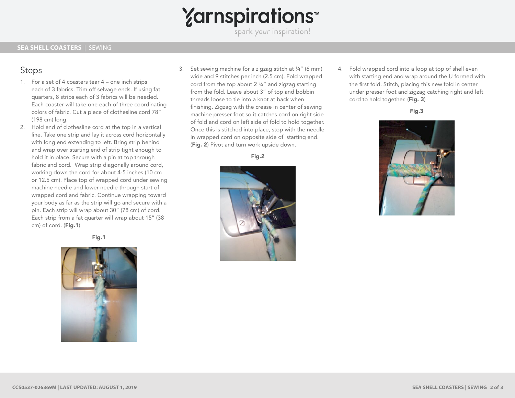# **Yarnspirations**

spark your inspiration!

## Steps

- 1. For a set of 4 coasters tear 4 one inch strips each of 3 fabrics. Trim off selvage ends. If using fat quarters, 8 strips each of 3 fabrics will be needed. Each coaster will take one each of three coordinating colors of fabric. Cut a piece of clothesline cord 78" (198 cm) long.
- 2. Hold end of clothesline cord at the top in a vertical line. Take one strip and lay it across cord horizontally with long end extending to left. Bring strip behind and wrap over starting end of strip tight enough to hold it in place. Secure with a pin at top through fabric and cord. Wrap strip diagonally around cord, working down the cord for about 4-5 inches (10 cm or 12.5 cm). Place top of wrapped cord under sewing machine needle and lower needle through start of wrapped cord and fabric. Continue wrapping toward your body as far as the strip will go and secure with a pin. Each strip will wrap about 30" (78 cm) of cord. Each strip from a fat quarter will wrap about 15" (38 cm) of cord. (Fig.1)

Fig.1



3. Set sewing machine for a zigzag stitch at ¼" (6 mm) wide and 9 stitches per inch (2.5 cm). Fold wrapped cord from the top about 2 ¾" and zigzag starting from the fold. Leave about 3" of top and bobbin threads loose to tie into a knot at back when finishing. Zigzag with the crease in center of sewing machine presser foot so it catches cord on right side of fold and cord on left side of fold to hold together. Once this is stitched into place, stop with the needle in wrapped cord on opposite side of starting end. (Fig. 2) Pivot and turn work upside down.

Fig.2



4. Fold wrapped cord into a loop at top of shell even with starting end and wrap around the U formed with the first fold. Stitch, placing this new fold in center under presser foot and zigzag catching right and left cord to hold together. (Fig. 3)

Fig.3